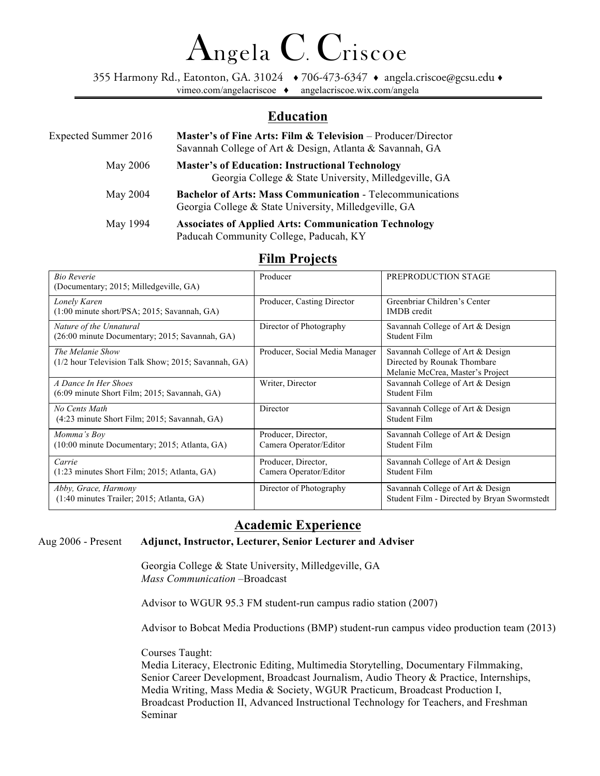# Angela C. Criscoe

355 Harmony Rd., Eatonton, GA. 31024 ♦ 706-473-6347 ♦ angela.criscoe@gcsu.edu ♦ vimeo.com/angelacriscoe ♦ angelacriscoe.wix.com/angela

#### ī **Education**

| <b>Expected Summer 2016</b> | Master's of Fine Arts: Film & Television – Producer/Director<br>Savannah College of Art & Design, Atlanta & Savannah, GA  |
|-----------------------------|---------------------------------------------------------------------------------------------------------------------------|
| May 2006                    | <b>Master's of Education: Instructional Technology</b><br>Georgia College & State University, Milledgeville, GA           |
| May 2004                    | <b>Bachelor of Arts: Mass Communication - Telecommunications</b><br>Georgia College & State University, Milledgeville, GA |
| May 1994                    | <b>Associates of Applied Arts: Communication Technology</b><br>Paducah Community College, Paducah, KY                     |

#### **Film Projects**

| <b>Bio Reverie</b><br>(Documentary; 2015; Milledgeville, GA)              | Producer                                      | PREPRODUCTION STAGE                                                                                 |
|---------------------------------------------------------------------------|-----------------------------------------------|-----------------------------------------------------------------------------------------------------|
| Lonely Karen<br>$(1:00 \text{ minute short/PSA}; 2015;$ Savannah, GA)     | Producer, Casting Director                    | Greenbriar Children's Center<br><b>IMDB</b> credit                                                  |
| Nature of the Unnatural<br>(26:00 minute Documentary; 2015; Savannah, GA) | Director of Photography                       | Savannah College of Art & Design<br>Student Film                                                    |
| The Melanie Show<br>$(1/2$ hour Television Talk Show; 2015; Savannah, GA) | Producer, Social Media Manager                | Savannah College of Art & Design<br>Directed by Rounak Thombare<br>Melanie McCrea, Master's Project |
| A Dance In Her Shoes<br>(6:09 minute Short Film; 2015; Savannah, GA)      | Writer, Director                              | Savannah College of Art & Design<br>Student Film                                                    |
| No Cents Math<br>$(4:23 \text{ minute Short Film}; 2015; Savannah, GA)$   | Director                                      | Savannah College of Art & Design<br>Student Film                                                    |
| Momma's Boy<br>$(10:00 \text{ minute Documentary}; 2015; Atlanta, GA)$    | Producer, Director,<br>Camera Operator/Editor | Savannah College of Art & Design<br>Student Film                                                    |
| Carrie<br>$(1:23 \text{ minutes Short Film}; 2015; Atlanta, GA)$          | Producer, Director,<br>Camera Operator/Editor | Savannah College of Art & Design<br>Student Film                                                    |
| Abby, Grace, Harmony<br>(1:40 minutes Trailer; 2015; Atlanta, GA)         | Director of Photography                       | Savannah College of Art & Design<br>Student Film - Directed by Bryan Swormstedt                     |

### **Academic Experience**

Aug 2006 - Present **Adjunct, Instructor, Lecturer, Senior Lecturer and Adviser** 

Georgia College & State University, Milledgeville, GA *Mass Communication –*Broadcast

Advisor to WGUR 95.3 FM student-run campus radio station (2007)

Advisor to Bobcat Media Productions (BMP) student-run campus video production team (2013)

Courses Taught:

Media Literacy, Electronic Editing, Multimedia Storytelling, Documentary Filmmaking, Senior Career Development, Broadcast Journalism, Audio Theory & Practice, Internships, Media Writing, Mass Media & Society, WGUR Practicum, Broadcast Production I, Broadcast Production II, Advanced Instructional Technology for Teachers, and Freshman Seminar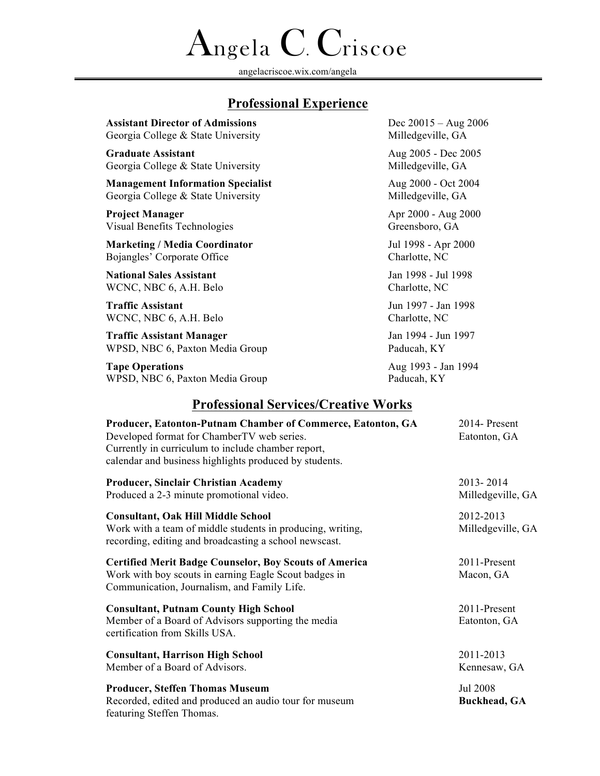# Angela C. Criscoe

angelacriscoe.wix.com/angelaī

# **Professional Experience**

| <b>Assistant Director of Admissions</b>  | Dec $20015 - Aug\ 2006$ |
|------------------------------------------|-------------------------|
| Georgia College & State University       | Milledgeville, GA       |
| <b>Graduate Assistant</b>                | Aug 2005 - Dec 2005     |
| Georgia College & State University       | Milledgeville, GA       |
| <b>Management Information Specialist</b> | Aug 2000 - Oct 2004     |
| Georgia College & State University       | Milledgeville, GA       |
| Project Manager                          | Apr 2000 - Aug 2000     |
| Visual Benefits Technologies             | Greensboro, GA          |
| <b>Marketing / Media Coordinator</b>     | Jul 1998 - Apr 2000     |
| Bojangles' Corporate Office              | Charlotte, NC           |
| <b>National Sales Assistant</b>          | Jan 1998 - Jul 1998     |
| WCNC, NBC 6, A.H. Belo                   | Charlotte, NC           |
| <b>Traffic Assistant</b>                 | Jun 1997 - Jan 1998     |
| WCNC, NBC 6, A.H. Belo                   | Charlotte, NC           |
| <b>Traffic Assistant Manager</b>         | Jan 1994 - Jun 1997     |
| WPSD, NBC 6, Paxton Media Group          | Paducah, KY             |
| <b>Tape Operations</b>                   | Aug 1993 - Jan 1994     |
| WPSD, NBC 6, Paxton Media Group          | Paducah, KY             |
|                                          |                         |

## **Professional Services/Creative Works**

| Producer, Eatonton-Putnam Chamber of Commerce, Eatonton, GA<br>Developed format for ChamberTV web series.<br>Currently in curriculum to include chamber report,<br>calendar and business highlights produced by students. | 2014- Present<br>Eatonton, GA   |
|---------------------------------------------------------------------------------------------------------------------------------------------------------------------------------------------------------------------------|---------------------------------|
| <b>Producer, Sinclair Christian Academy</b><br>Produced a 2-3 minute promotional video.                                                                                                                                   | 2013-2014<br>Milledgeville, GA  |
| <b>Consultant, Oak Hill Middle School</b><br>Work with a team of middle students in producing, writing,<br>recording, editing and broadcasting a school newscast.                                                         | 2012-2013<br>Milledgeville, GA  |
| <b>Certified Merit Badge Counselor, Boy Scouts of America</b><br>Work with boy scouts in earning Eagle Scout badges in<br>Communication, Journalism, and Family Life.                                                     | 2011-Present<br>Macon, GA       |
| <b>Consultant, Putnam County High School</b><br>Member of a Board of Advisors supporting the media<br>certification from Skills USA.                                                                                      | 2011-Present<br>Eatonton, GA    |
| <b>Consultant, Harrison High School</b><br>Member of a Board of Advisors.                                                                                                                                                 | 2011-2013<br>Kennesaw, GA       |
| <b>Producer, Steffen Thomas Museum</b><br>Recorded, edited and produced an audio tour for museum<br>featuring Steffen Thomas.                                                                                             | Jul 2008<br><b>Buckhead, GA</b> |